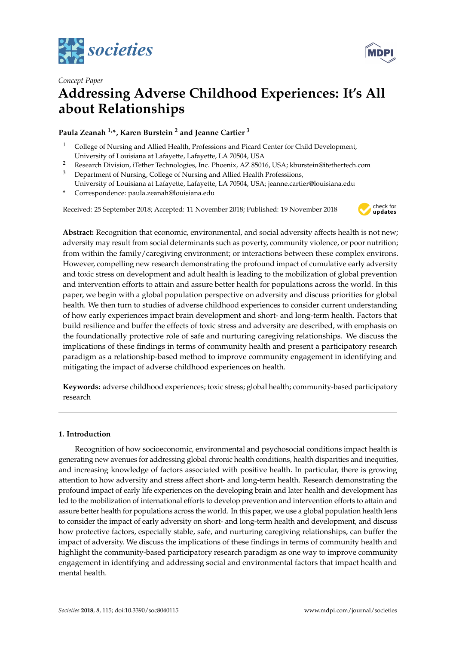



# *Concept Paper* **Addressing Adverse Childhood Experiences: It's All about Relationships**

## **Paula Zeanah 1,\*, Karen Burstein <sup>2</sup> and Jeanne Cartier <sup>3</sup>**

- <sup>1</sup> College of Nursing and Allied Health, Professions and Picard Center for Child Development, University of Louisiana at Lafayette, Lafayette, LA 70504, USA
- <sup>2</sup> Research Division, iTether Technologies, Inc. Phoenix, AZ 85016, USA; kburstein@itethertech.com
- <sup>3</sup> Department of Nursing, College of Nursing and Allied Health Professiions, University of Louisiana at Lafayette, Lafayette, LA 70504, USA; jeanne.cartier@louisiana.edu
- **\*** Correspondence: paula.zeanah@louisiana.edu

Received: 25 September 2018; Accepted: 11 November 2018; Published: 19 November 2018



**Abstract:** Recognition that economic, environmental, and social adversity affects health is not new; adversity may result from social determinants such as poverty, community violence, or poor nutrition; from within the family/caregiving environment; or interactions between these complex environs. However, compelling new research demonstrating the profound impact of cumulative early adversity and toxic stress on development and adult health is leading to the mobilization of global prevention and intervention efforts to attain and assure better health for populations across the world. In this paper, we begin with a global population perspective on adversity and discuss priorities for global health. We then turn to studies of adverse childhood experiences to consider current understanding of how early experiences impact brain development and short- and long-term health. Factors that build resilience and buffer the effects of toxic stress and adversity are described, with emphasis on the foundationally protective role of safe and nurturing caregiving relationships. We discuss the implications of these findings in terms of community health and present a participatory research paradigm as a relationship-based method to improve community engagement in identifying and mitigating the impact of adverse childhood experiences on health.

**Keywords:** adverse childhood experiences; toxic stress; global health; community-based participatory research

### **1. Introduction**

Recognition of how socioeconomic, environmental and psychosocial conditions impact health is generating new avenues for addressing global chronic health conditions, health disparities and inequities, and increasing knowledge of factors associated with positive health. In particular, there is growing attention to how adversity and stress affect short- and long-term health. Research demonstrating the profound impact of early life experiences on the developing brain and later health and development has led to the mobilization of international efforts to develop prevention and intervention efforts to attain and assure better health for populations across the world. In this paper, we use a global population health lens to consider the impact of early adversity on short- and long-term health and development, and discuss how protective factors, especially stable, safe, and nurturing caregiving relationships, can buffer the impact of adversity. We discuss the implications of these findings in terms of community health and highlight the community-based participatory research paradigm as one way to improve community engagement in identifying and addressing social and environmental factors that impact health and mental health.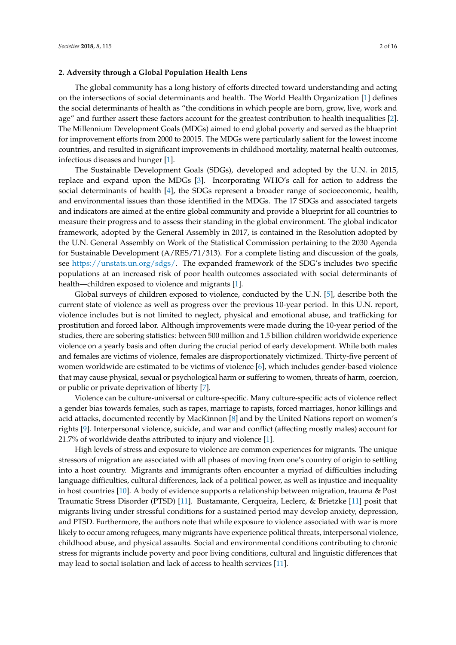The global community has a long history of efforts directed toward understanding and acting on the intersections of social determinants and health. The World Health Organization [\[1\]](#page-11-0) defines the social determinants of health as "the conditions in which people are born, grow, live, work and age" and further assert these factors account for the greatest contribution to health inequalities [\[2\]](#page-11-1). The Millennium Development Goals (MDGs) aimed to end global poverty and served as the blueprint for improvement efforts from 2000 to 20015. The MDGs were particularly salient for the lowest income countries, and resulted in significant improvements in childhood mortality, maternal health outcomes, infectious diseases and hunger [\[1\]](#page-11-0).

The Sustainable Development Goals (SDGs), developed and adopted by the U.N. in 2015, replace and expand upon the MDGs [\[3\]](#page-11-2). Incorporating WHO's call for action to address the social determinants of health [\[4\]](#page-11-3), the SDGs represent a broader range of socioeconomic, health, and environmental issues than those identified in the MDGs. The 17 SDGs and associated targets and indicators are aimed at the entire global community and provide a blueprint for all countries to measure their progress and to assess their standing in the global environment. The global indicator framework, adopted by the General Assembly in 2017, is contained in the Resolution adopted by the U.N. General Assembly on Work of the Statistical Commission pertaining to the 2030 Agenda for Sustainable Development (A/RES/71/313). For a complete listing and discussion of the goals, see [https://unstats.un.org/sdgs/.](https://unstats.un.org/sdgs/) The expanded framework of the SDG's includes two specific populations at an increased risk of poor health outcomes associated with social determinants of health—children exposed to violence and migrants [\[1\]](#page-11-0).

Global surveys of children exposed to violence, conducted by the U.N. [\[5\]](#page-11-4), describe both the current state of violence as well as progress over the previous 10-year period. In this U.N. report, violence includes but is not limited to neglect, physical and emotional abuse, and trafficking for prostitution and forced labor. Although improvements were made during the 10-year period of the studies, there are sobering statistics: between 500 million and 1.5 billion children worldwide experience violence on a yearly basis and often during the crucial period of early development. While both males and females are victims of violence, females are disproportionately victimized. Thirty-five percent of women worldwide are estimated to be victims of violence [\[6\]](#page-11-5), which includes gender-based violence that may cause physical, sexual or psychological harm or suffering to women, threats of harm, coercion, or public or private deprivation of liberty [\[7\]](#page-11-6).

Violence can be culture-universal or culture-specific. Many culture-specific acts of violence reflect a gender bias towards females, such as rapes, marriage to rapists, forced marriages, honor killings and acid attacks, documented recently by MacKinnon [\[8\]](#page-11-7) and by the United Nations report on women's rights [\[9\]](#page-11-8). Interpersonal violence, suicide, and war and conflict (affecting mostly males) account for 21.7% of worldwide deaths attributed to injury and violence [\[1\]](#page-11-0).

High levels of stress and exposure to violence are common experiences for migrants. The unique stressors of migration are associated with all phases of moving from one's country of origin to settling into a host country. Migrants and immigrants often encounter a myriad of difficulties including language difficulties, cultural differences, lack of a political power, as well as injustice and inequality in host countries [\[10\]](#page-11-9). A body of evidence supports a relationship between migration, trauma & Post Traumatic Stress Disorder (PTSD) [\[11\]](#page-11-10). Bustamante, Cerqueira, Leclerc, & Brietzke [\[11\]](#page-11-10) posit that migrants living under stressful conditions for a sustained period may develop anxiety, depression, and PTSD. Furthermore, the authors note that while exposure to violence associated with war is more likely to occur among refugees, many migrants have experience political threats, interpersonal violence, childhood abuse, and physical assaults. Social and environmental conditions contributing to chronic stress for migrants include poverty and poor living conditions, cultural and linguistic differences that may lead to social isolation and lack of access to health services [\[11\]](#page-11-10).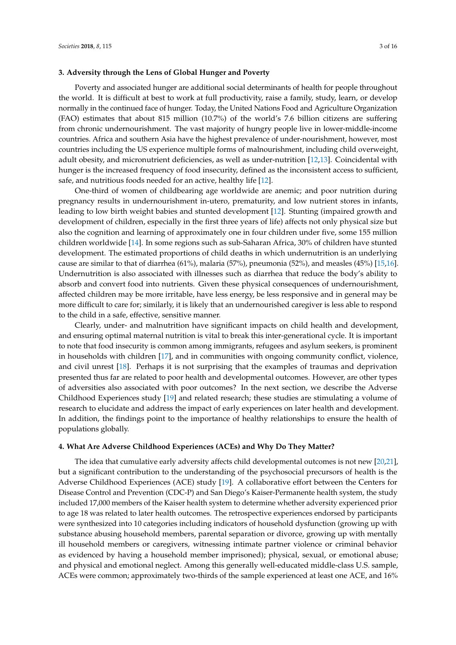#### **3. Adversity through the Lens of Global Hunger and Poverty**

Poverty and associated hunger are additional social determinants of health for people throughout the world. It is difficult at best to work at full productivity, raise a family, study, learn, or develop normally in the continued face of hunger. Today, the United Nations Food and Agriculture Organization (FAO) estimates that about 815 million (10.7%) of the world's 7.6 billion citizens are suffering from chronic undernourishment. The vast majority of hungry people live in lower-middle-income countries. Africa and southern Asia have the highest prevalence of under-nourishment, however, most countries including the US experience multiple forms of malnourishment, including child overweight, adult obesity, and micronutrient deficiencies, as well as under-nutrition [\[12](#page-11-11)[,13\]](#page-11-12). Coincidental with hunger is the increased frequency of food insecurity, defined as the inconsistent access to sufficient, safe, and nutritious foods needed for an active, healthy life [\[12\]](#page-11-11).

One-third of women of childbearing age worldwide are anemic; and poor nutrition during pregnancy results in undernourishment in-utero, prematurity, and low nutrient stores in infants, leading to low birth weight babies and stunted development [\[12\]](#page-11-11). Stunting (impaired growth and development of children, especially in the first three years of life) affects not only physical size but also the cognition and learning of approximately one in four children under five, some 155 million children worldwide [\[14\]](#page-11-13). In some regions such as sub-Saharan Africa, 30% of children have stunted development. The estimated proportions of child deaths in which undernutrition is an underlying cause are similar to that of diarrhea (61%), malaria (57%), pneumonia (52%), and measles (45%) [\[15](#page-11-14)[,16\]](#page-11-15). Undernutrition is also associated with illnesses such as diarrhea that reduce the body's ability to absorb and convert food into nutrients. Given these physical consequences of undernourishment, affected children may be more irritable, have less energy, be less responsive and in general may be more difficult to care for; similarly, it is likely that an undernourished caregiver is less able to respond to the child in a safe, effective, sensitive manner.

Clearly, under- and malnutrition have significant impacts on child health and development, and ensuring optimal maternal nutrition is vital to break this inter-generational cycle. It is important to note that food insecurity is common among immigrants, refugees and asylum seekers, is prominent in households with children [\[17\]](#page-11-16), and in communities with ongoing community conflict, violence, and civil unrest [\[18\]](#page-11-17). Perhaps it is not surprising that the examples of traumas and deprivation presented thus far are related to poor health and developmental outcomes. However, are other types of adversities also associated with poor outcomes? In the next section, we describe the Adverse Childhood Experiences study [\[19\]](#page-12-0) and related research; these studies are stimulating a volume of research to elucidate and address the impact of early experiences on later health and development. In addition, the findings point to the importance of healthy relationships to ensure the health of populations globally.

#### **4. What Are Adverse Childhood Experiences (ACEs) and Why Do They Matter?**

The idea that cumulative early adversity affects child developmental outcomes is not new [\[20](#page-12-1)[,21\]](#page-12-2), but a significant contribution to the understanding of the psychosocial precursors of health is the Adverse Childhood Experiences (ACE) study [\[19\]](#page-12-0). A collaborative effort between the Centers for Disease Control and Prevention (CDC-P) and San Diego's Kaiser-Permanente health system, the study included 17,000 members of the Kaiser health system to determine whether adversity experienced prior to age 18 was related to later health outcomes. The retrospective experiences endorsed by participants were synthesized into 10 categories including indicators of household dysfunction (growing up with substance abusing household members, parental separation or divorce, growing up with mentally ill household members or caregivers, witnessing intimate partner violence or criminal behavior as evidenced by having a household member imprisoned); physical, sexual, or emotional abuse; and physical and emotional neglect. Among this generally well-educated middle-class U.S. sample, ACEs were common; approximately two-thirds of the sample experienced at least one ACE, and 16%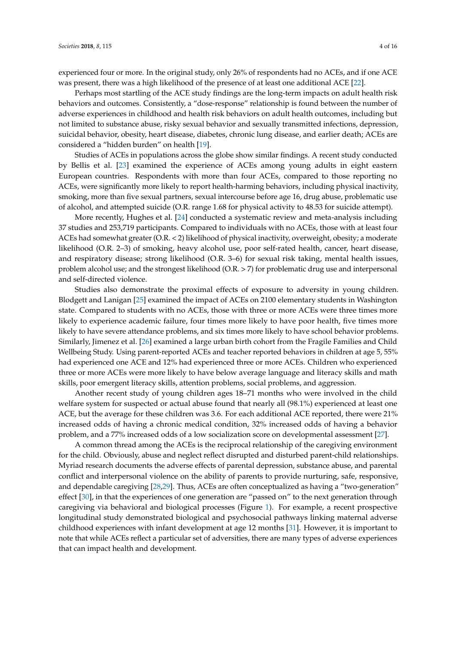experienced four or more. In the original study, only 26% of respondents had no ACEs, and if one ACE was present, there was a high likelihood of the presence of at least one additional ACE [\[22\]](#page-12-3).

Perhaps most startling of the ACE study findings are the long-term impacts on adult health risk behaviors and outcomes. Consistently, a "dose-response" relationship is found between the number of adverse experiences in childhood and health risk behaviors on adult health outcomes, including but not limited to substance abuse, risky sexual behavior and sexually transmitted infections, depression, suicidal behavior, obesity, heart disease, diabetes, chronic lung disease, and earlier death; ACEs are considered a "hidden burden" on health [\[19\]](#page-12-0).

Studies of ACEs in populations across the globe show similar findings. A recent study conducted by Bellis et al. [\[23\]](#page-12-4) examined the experience of ACEs among young adults in eight eastern European countries. Respondents with more than four ACEs, compared to those reporting no ACEs, were significantly more likely to report health-harming behaviors, including physical inactivity, smoking, more than five sexual partners, sexual intercourse before age 16, drug abuse, problematic use of alcohol, and attempted suicide (O.R. range 1.68 for physical activity to 48.53 for suicide attempt).

More recently, Hughes et al. [\[24\]](#page-12-5) conducted a systematic review and meta-analysis including 37 studies and 253,719 participants. Compared to individuals with no ACEs, those with at least four ACEs had somewhat greater (O.R. < 2) likelihood of physical inactivity, overweight, obesity; a moderate likelihood (O.R. 2–3) of smoking, heavy alcohol use, poor self-rated health, cancer, heart disease, and respiratory disease; strong likelihood (O.R. 3–6) for sexual risk taking, mental health issues, problem alcohol use; and the strongest likelihood (O.R. > 7) for problematic drug use and interpersonal and self-directed violence.

Studies also demonstrate the proximal effects of exposure to adversity in young children. Blodgett and Lanigan [\[25\]](#page-12-6) examined the impact of ACEs on 2100 elementary students in Washington state. Compared to students with no ACEs, those with three or more ACEs were three times more likely to experience academic failure, four times more likely to have poor health, five times more likely to have severe attendance problems, and six times more likely to have school behavior problems. Similarly, Jimenez et al. [\[26\]](#page-12-7) examined a large urban birth cohort from the Fragile Families and Child Wellbeing Study. Using parent-reported ACEs and teacher reported behaviors in children at age 5, 55% had experienced one ACE and 12% had experienced three or more ACEs. Children who experienced three or more ACEs were more likely to have below average language and literacy skills and math skills, poor emergent literacy skills, attention problems, social problems, and aggression.

Another recent study of young children ages 18–71 months who were involved in the child welfare system for suspected or actual abuse found that nearly all (98.1%) experienced at least one ACE, but the average for these children was 3.6. For each additional ACE reported, there were 21% increased odds of having a chronic medical condition, 32% increased odds of having a behavior problem, and a 77% increased odds of a low socialization score on developmental assessment [\[27\]](#page-12-8).

A common thread among the ACEs is the reciprocal relationship of the caregiving environment for the child. Obviously, abuse and neglect reflect disrupted and disturbed parent-child relationships. Myriad research documents the adverse effects of parental depression, substance abuse, and parental conflict and interpersonal violence on the ability of parents to provide nurturing, safe, responsive, and dependable caregiving [\[28](#page-12-9)[,29\]](#page-12-10). Thus, ACEs are often conceptualized as having a "two-generation" effect [\[30\]](#page-12-11), in that the experiences of one generation are "passed on" to the next generation through caregiving via behavioral and biological processes (Figure [1\)](#page-4-0). For example, a recent prospective longitudinal study demonstrated biological and psychosocial pathways linking maternal adverse childhood experiences with infant development at age 12 months [\[31\]](#page-12-12). However, it is important to note that while ACEs reflect a particular set of adversities, there are many types of adverse experiences that can impact health and development.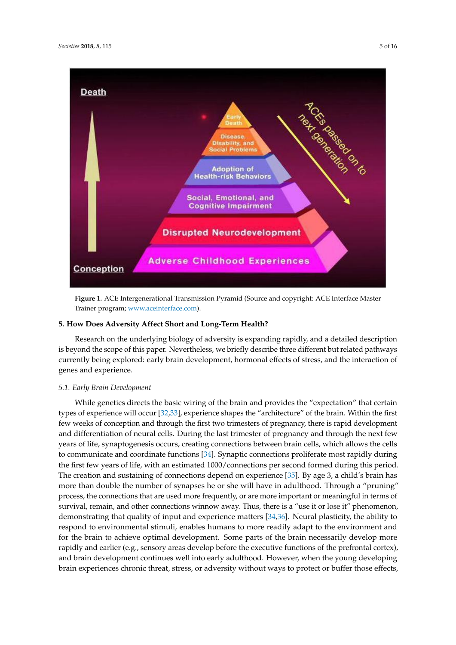<span id="page-4-0"></span>

**Figure 1.** ACE Intergenerational Transmission Pyramid (Source and copyright: ACE Interface Master **Figure 1.**ACE Intergenerational Transmission Pyramid (Source and copyright: ACE Interface Master Trainer program;<www.aceinterface.com>). Trainer program; www.aceinterface.com).

## **5. How Does Adversity Affect Short and Long-Term Health? 5. How Does Adversity Affect Short and Long-Term Health?**

Research on the underlying biology of adversity is expanding rapidly, and a detailed description Research on the underlying biology of adversity is expanding rapidly, and a detailed description is beyond the scope of this paper. Nevertheless, we briefly describe three different but related is beyond the scope of this paper. Nevertheless, we briefly describe three different but related pathways currently being explored: early brain development, hormonal effects of stress, and the interaction of genes and experience.

## *5.1. Early Brain Development 5.1. Early Brain Development*

types of experience will occur [\[32,](#page-12-13)[33\]](#page-12-14), experience shapes the "architecture" of the brain. Within the first few weeks of conception and through the first two trimesters of pregnancy, there is rapid development and differentiation of neural cells. During the last trimester of pregnancy and through the next few years of life, synaptogenesis occurs, creating connections between brain cells, which allows the cells to communicate and coordinate functions [\[34\]](#page-12-15). Synaptic connections proliferate most rapidly during the first few years of life, with an estimated 1000/connections per second formed during this period. The creation and sustaining of connections depend on experience  $[35]$ . By age 3, a child's brain has more than double the number of synapses he or she will have in adulthood. Through a "pruning" process, the connections that are used more frequently, or are more important or meaningful in terms of process, the connections that are decreased in process, the more important of including that the connections winnow away. Thus, there is a "use it or lose it" phenomenon, demonstrating that quality of input and experience matters [\[34](#page-12-15)[,36\]](#page-12-17). Neural plasticity, the ability to respond to environmental stimuli, enables humans to more readily adapt to the environment and respond to environmental stimuli, enables humans to more readily adapt to the environment and For the brain to achieve optimal development. Some parts of the brain necessarily develop more for the brain to achieve optimal development. Some parts of the brain necessarily develop more rapidly and earlier (e.g., sensory areas develop before the executive functions of the prefrontal cortex), engthly have change (e.g., sensory more the early according to encount a material of the polarismic server), and brain development continues well into early adulthood. However, when the young developing functions of the prefrontal corresponding  $\alpha$  and brain development continues well into early adulthood. The prefrontal continues we obtain development continues we advance of  $\alpha$  and  $\alpha$  and  $\alpha$  adultsood. The prefro brain experiences chronic threat, stress, or adversity without ways to protect or buffer those effects, While genetics directs the basic wiring of the brain and provides the "expectation" that certain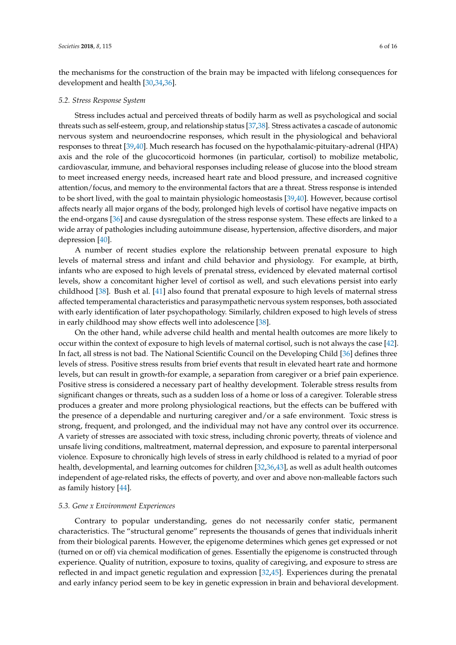the mechanisms for the construction of the brain may be impacted with lifelong consequences for development and health [\[30](#page-12-11)[,34](#page-12-15)[,36\]](#page-12-17).

#### *5.2. Stress Response System*

Stress includes actual and perceived threats of bodily harm as well as psychological and social threats such as self-esteem, group, and relationship status [\[37](#page-12-18)[,38\]](#page-12-19). Stress activates a cascade of autonomic nervous system and neuroendocrine responses, which result in the physiological and behavioral responses to threat [\[39](#page-13-0)[,40\]](#page-13-1). Much research has focused on the hypothalamic-pituitary-adrenal (HPA) axis and the role of the glucocorticoid hormones (in particular, cortisol) to mobilize metabolic, cardiovascular, immune, and behavioral responses including release of glucose into the blood stream to meet increased energy needs, increased heart rate and blood pressure, and increased cognitive attention/focus, and memory to the environmental factors that are a threat. Stress response is intended to be short lived, with the goal to maintain physiologic homeostasis [\[39,](#page-13-0)[40\]](#page-13-1). However, because cortisol affects nearly all major organs of the body, prolonged high levels of cortisol have negative impacts on the end-organs [\[36\]](#page-12-17) and cause dysregulation of the stress response system. These effects are linked to a wide array of pathologies including autoimmune disease, hypertension, affective disorders, and major depression [\[40\]](#page-13-1).

A number of recent studies explore the relationship between prenatal exposure to high levels of maternal stress and infant and child behavior and physiology. For example, at birth, infants who are exposed to high levels of prenatal stress, evidenced by elevated maternal cortisol levels, show a concomitant higher level of cortisol as well, and such elevations persist into early childhood [\[38\]](#page-12-19). Bush et al. [\[41\]](#page-13-2) also found that prenatal exposure to high levels of maternal stress affected temperamental characteristics and parasympathetic nervous system responses, both associated with early identification of later psychopathology. Similarly, children exposed to high levels of stress in early childhood may show effects well into adolescence [\[38\]](#page-12-19).

On the other hand, while adverse child health and mental health outcomes are more likely to occur within the context of exposure to high levels of maternal cortisol, such is not always the case [\[42\]](#page-13-3). In fact, all stress is not bad. The National Scientific Council on the Developing Child [\[36\]](#page-12-17) defines three levels of stress. Positive stress results from brief events that result in elevated heart rate and hormone levels, but can result in growth-for example, a separation from caregiver or a brief pain experience. Positive stress is considered a necessary part of healthy development. Tolerable stress results from significant changes or threats, such as a sudden loss of a home or loss of a caregiver. Tolerable stress produces a greater and more prolong physiological reactions, but the effects can be buffered with the presence of a dependable and nurturing caregiver and/or a safe environment. Toxic stress is strong, frequent, and prolonged, and the individual may not have any control over its occurrence. A variety of stresses are associated with toxic stress, including chronic poverty, threats of violence and unsafe living conditions, maltreatment, maternal depression, and exposure to parental interpersonal violence. Exposure to chronically high levels of stress in early childhood is related to a myriad of poor health, developmental, and learning outcomes for children [\[32,](#page-12-13)[36,](#page-12-17)[43\]](#page-13-4), as well as adult health outcomes independent of age-related risks, the effects of poverty, and over and above non-malleable factors such as family history [\[44\]](#page-13-5).

#### *5.3. Gene x Environment Experiences*

Contrary to popular understanding, genes do not necessarily confer static, permanent characteristics. The "structural genome" represents the thousands of genes that individuals inherit from their biological parents. However, the epigenome determines which genes get expressed or not (turned on or off) via chemical modification of genes. Essentially the epigenome is constructed through experience. Quality of nutrition, exposure to toxins, quality of caregiving, and exposure to stress are reflected in and impact genetic regulation and expression [\[32,](#page-12-13)[45\]](#page-13-6). Experiences during the prenatal and early infancy period seem to be key in genetic expression in brain and behavioral development.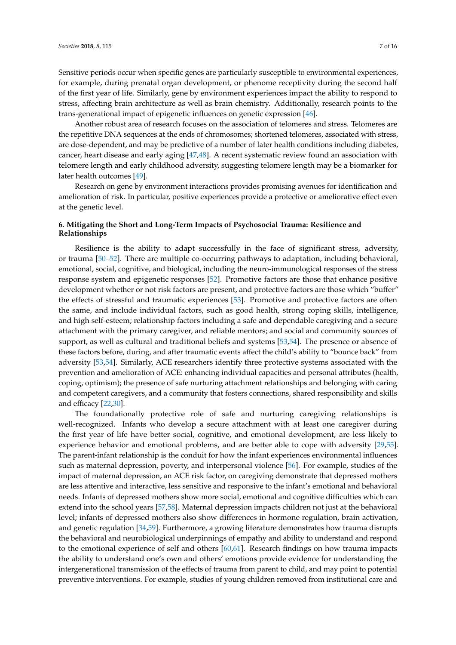Sensitive periods occur when specific genes are particularly susceptible to environmental experiences, for example, during prenatal organ development, or phenome receptivity during the second half of the first year of life. Similarly, gene by environment experiences impact the ability to respond to stress, affecting brain architecture as well as brain chemistry. Additionally, research points to the trans-generational impact of epigenetic influences on genetic expression [\[46\]](#page-13-7).

Another robust area of research focuses on the association of telomeres and stress. Telomeres are the repetitive DNA sequences at the ends of chromosomes; shortened telomeres, associated with stress, are dose-dependent, and may be predictive of a number of later health conditions including diabetes, cancer, heart disease and early aging [\[47,](#page-13-8)[48\]](#page-13-9). A recent systematic review found an association with telomere length and early childhood adversity, suggesting telomere length may be a biomarker for later health outcomes [\[49\]](#page-13-10).

Research on gene by environment interactions provides promising avenues for identification and amelioration of risk. In particular, positive experiences provide a protective or ameliorative effect even at the genetic level.

### **6. Mitigating the Short and Long-Term Impacts of Psychosocial Trauma: Resilience and Relationships**

Resilience is the ability to adapt successfully in the face of significant stress, adversity, or trauma [\[50](#page-13-11)[–52\]](#page-13-12). There are multiple co-occurring pathways to adaptation, including behavioral, emotional, social, cognitive, and biological, including the neuro-immunological responses of the stress response system and epigenetic responses [\[52\]](#page-13-12). Promotive factors are those that enhance positive development whether or not risk factors are present, and protective factors are those which "buffer" the effects of stressful and traumatic experiences [\[53\]](#page-13-13). Promotive and protective factors are often the same, and include individual factors, such as good health, strong coping skills, intelligence, and high self-esteem; relationship factors including a safe and dependable caregiving and a secure attachment with the primary caregiver, and reliable mentors; and social and community sources of support, as well as cultural and traditional beliefs and systems [\[53](#page-13-13)[,54\]](#page-13-14). The presence or absence of these factors before, during, and after traumatic events affect the child's ability to "bounce back" from adversity [\[53,](#page-13-13)[54\]](#page-13-14). Similarly, ACE researchers identify three protective systems associated with the prevention and amelioration of ACE: enhancing individual capacities and personal attributes (health, coping, optimism); the presence of safe nurturing attachment relationships and belonging with caring and competent caregivers, and a community that fosters connections, shared responsibility and skills and efficacy [\[22](#page-12-3)[,30\]](#page-12-11).

The foundationally protective role of safe and nurturing caregiving relationships is well-recognized. Infants who develop a secure attachment with at least one caregiver during the first year of life have better social, cognitive, and emotional development, are less likely to experience behavior and emotional problems, and are better able to cope with adversity [\[29,](#page-12-10)[55\]](#page-13-15). The parent-infant relationship is the conduit for how the infant experiences environmental influences such as maternal depression, poverty, and interpersonal violence [\[56\]](#page-13-16). For example, studies of the impact of maternal depression, an ACE risk factor, on caregiving demonstrate that depressed mothers are less attentive and interactive, less sensitive and responsive to the infant's emotional and behavioral needs. Infants of depressed mothers show more social, emotional and cognitive difficulties which can extend into the school years [\[57](#page-13-17)[,58\]](#page-13-18). Maternal depression impacts children not just at the behavioral level; infants of depressed mothers also show differences in hormone regulation, brain activation, and genetic regulation [\[34](#page-12-15)[,59\]](#page-13-19). Furthermore, a growing literature demonstrates how trauma disrupts the behavioral and neurobiological underpinnings of empathy and ability to understand and respond to the emotional experience of self and others [\[60,](#page-13-20)[61\]](#page-14-0). Research findings on how trauma impacts the ability to understand one's own and others' emotions provide evidence for understanding the intergenerational transmission of the effects of trauma from parent to child, and may point to potential preventive interventions. For example, studies of young children removed from institutional care and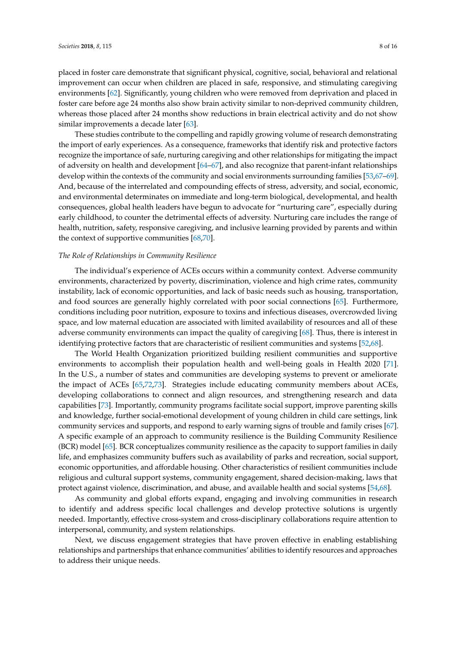placed in foster care demonstrate that significant physical, cognitive, social, behavioral and relational improvement can occur when children are placed in safe, responsive, and stimulating caregiving environments [\[62\]](#page-14-1). Significantly, young children who were removed from deprivation and placed in foster care before age 24 months also show brain activity similar to non-deprived community children, whereas those placed after 24 months show reductions in brain electrical activity and do not show similar improvements a decade later [\[63\]](#page-14-2).

These studies contribute to the compelling and rapidly growing volume of research demonstrating the import of early experiences. As a consequence, frameworks that identify risk and protective factors recognize the importance of safe, nurturing caregiving and other relationships for mitigating the impact of adversity on health and development [\[64](#page-14-3)[–67\]](#page-14-4), and also recognize that parent-infant relationships develop within the contexts of the community and social environments surrounding families [\[53,](#page-13-13)[67–](#page-14-4)[69\]](#page-14-5). And, because of the interrelated and compounding effects of stress, adversity, and social, economic, and environmental determinates on immediate and long-term biological, developmental, and health consequences, global health leaders have begun to advocate for "nurturing care", especially during early childhood, to counter the detrimental effects of adversity. Nurturing care includes the range of health, nutrition, safety, responsive caregiving, and inclusive learning provided by parents and within the context of supportive communities [\[68](#page-14-6)[,70\]](#page-14-7).

#### *The Role of Relationships in Community Resilience*

The individual's experience of ACEs occurs within a community context. Adverse community environments, characterized by poverty, discrimination, violence and high crime rates, community instability, lack of economic opportunities, and lack of basic needs such as housing, transportation, and food sources are generally highly correlated with poor social connections [\[65\]](#page-14-8). Furthermore, conditions including poor nutrition, exposure to toxins and infectious diseases, overcrowded living space, and low maternal education are associated with limited availability of resources and all of these adverse community environments can impact the quality of caregiving [\[68\]](#page-14-6). Thus, there is interest in identifying protective factors that are characteristic of resilient communities and systems [\[52](#page-13-12)[,68\]](#page-14-6).

The World Health Organization prioritized building resilient communities and supportive environments to accomplish their population health and well-being goals in Health 2020 [\[71\]](#page-14-9). In the U.S., a number of states and communities are developing systems to prevent or ameliorate the impact of ACEs [\[65](#page-14-8)[,72](#page-14-10)[,73\]](#page-14-11). Strategies include educating community members about ACEs, developing collaborations to connect and align resources, and strengthening research and data capabilities [\[73\]](#page-14-11). Importantly, community programs facilitate social support, improve parenting skills and knowledge, further social-emotional development of young children in child care settings, link community services and supports, and respond to early warning signs of trouble and family crises [\[67\]](#page-14-4). A specific example of an approach to community resilience is the Building Community Resilience (BCR) model [\[65\]](#page-14-8). BCR conceptualizes community resilience as the capacity to support families in daily life, and emphasizes community buffers such as availability of parks and recreation, social support, economic opportunities, and affordable housing. Other characteristics of resilient communities include religious and cultural support systems, community engagement, shared decision-making, laws that protect against violence, discrimination, and abuse, and available health and social systems [\[54](#page-13-14)[,68\]](#page-14-6).

As community and global efforts expand, engaging and involving communities in research to identify and address specific local challenges and develop protective solutions is urgently needed. Importantly, effective cross-system and cross-disciplinary collaborations require attention to interpersonal, community, and system relationships.

Next, we discuss engagement strategies that have proven effective in enabling establishing relationships and partnerships that enhance communities' abilities to identify resources and approaches to address their unique needs.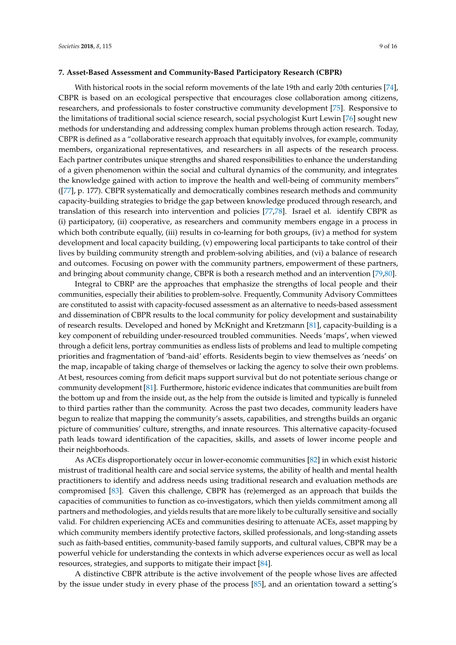#### **7. Asset-Based Assessment and Community-Based Participatory Research (CBPR)**

With historical roots in the social reform movements of the late 19th and early 20th centuries [\[74\]](#page-14-12), CBPR is based on an ecological perspective that encourages close collaboration among citizens, researchers, and professionals to foster constructive community development [\[75\]](#page-14-13). Responsive to the limitations of traditional social science research, social psychologist Kurt Lewin [\[76\]](#page-14-14) sought new methods for understanding and addressing complex human problems through action research. Today, CBPR is defined as a "collaborative research approach that equitably involves, for example, community members, organizational representatives, and researchers in all aspects of the research process. Each partner contributes unique strengths and shared responsibilities to enhance the understanding of a given phenomenon within the social and cultural dynamics of the community, and integrates the knowledge gained with action to improve the health and well-being of community members" ([\[77\]](#page-14-15), p. 177). CBPR systematically and democratically combines research methods and community capacity-building strategies to bridge the gap between knowledge produced through research, and translation of this research into intervention and policies [\[77,](#page-14-15)[78\]](#page-14-16). Israel et al. identify CBPR as (i) participatory, (ii) cooperative, as researchers and community members engage in a process in which both contribute equally, (iii) results in co-learning for both groups, (iv) a method for system development and local capacity building, (v) empowering local participants to take control of their lives by building community strength and problem-solving abilities, and (vi) a balance of research and outcomes. Focusing on power with the community partners, empowerment of these partners, and bringing about community change, CBPR is both a research method and an intervention [\[79](#page-14-17)[,80\]](#page-14-18).

Integral to CBRP are the approaches that emphasize the strengths of local people and their communities, especially their abilities to problem-solve. Frequently, Community Advisory Committees are constituted to assist with capacity-focused assessment as an alternative to needs-based assessment and dissemination of CBPR results to the local community for policy development and sustainability of research results. Developed and honed by McKnight and Kretzmann [\[81\]](#page-14-19), capacity-building is a key component of rebuilding under-resourced troubled communities. Needs 'maps', when viewed through a deficit lens, portray communities as endless lists of problems and lead to multiple competing priorities and fragmentation of 'band-aid' efforts. Residents begin to view themselves as 'needs' on the map, incapable of taking charge of themselves or lacking the agency to solve their own problems. At best, resources coming from deficit maps support survival but do not potentiate serious change or community development [\[81\]](#page-14-19). Furthermore, historic evidence indicates that communities are built from the bottom up and from the inside out, as the help from the outside is limited and typically is funneled to third parties rather than the community. Across the past two decades, community leaders have begun to realize that mapping the community's assets, capabilities, and strengths builds an organic picture of communities' culture, strengths, and innate resources. This alternative capacity-focused path leads toward identification of the capacities, skills, and assets of lower income people and their neighborhoods.

As ACEs disproportionately occur in lower-economic communities [\[82\]](#page-15-0) in which exist historic mistrust of traditional health care and social service systems, the ability of health and mental health practitioners to identify and address needs using traditional research and evaluation methods are compromised [\[83\]](#page-15-1). Given this challenge, CBPR has (re)emerged as an approach that builds the capacities of communities to function as co-investigators, which then yields commitment among all partners and methodologies, and yields results that are more likely to be culturally sensitive and socially valid. For children experiencing ACEs and communities desiring to attenuate ACEs, asset mapping by which community members identify protective factors, skilled professionals, and long-standing assets such as faith-based entities, community-based family supports, and cultural values, CBPR may be a powerful vehicle for understanding the contexts in which adverse experiences occur as well as local resources, strategies, and supports to mitigate their impact [\[84\]](#page-15-2).

A distinctive CBPR attribute is the active involvement of the people whose lives are affected by the issue under study in every phase of the process [\[85\]](#page-15-3), and an orientation toward a setting's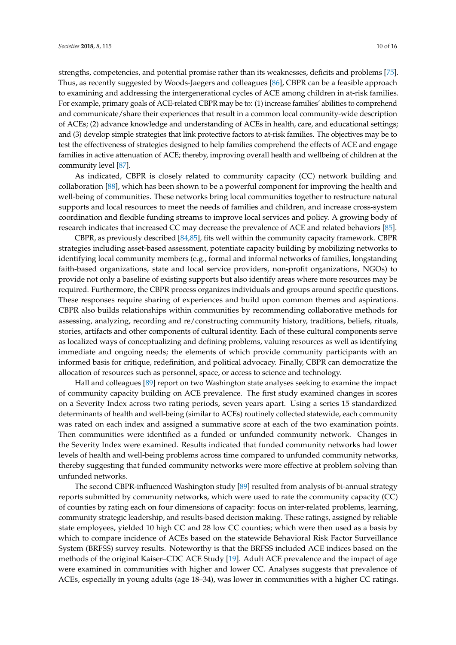strengths, competencies, and potential promise rather than its weaknesses, deficits and problems [\[75\]](#page-14-13). Thus, as recently suggested by Woods-Jaegers and colleagues [\[86\]](#page-15-4), CBPR can be a feasible approach to examining and addressing the intergenerational cycles of ACE among children in at-risk families. For example, primary goals of ACE-related CBPR may be to: (1) increase families' abilities to comprehend and communicate/share their experiences that result in a common local community-wide description of ACEs; (2) advance knowledge and understanding of ACEs in health, care, and educational settings; and (3) develop simple strategies that link protective factors to at-risk families. The objectives may be to test the effectiveness of strategies designed to help families comprehend the effects of ACE and engage families in active attenuation of ACE; thereby, improving overall health and wellbeing of children at the community level [\[87\]](#page-15-5).

As indicated, CBPR is closely related to community capacity (CC) network building and collaboration [\[88\]](#page-15-6), which has been shown to be a powerful component for improving the health and well-being of communities. These networks bring local communities together to restructure natural supports and local resources to meet the needs of families and children, and increase cross-system coordination and flexible funding streams to improve local services and policy. A growing body of research indicates that increased CC may decrease the prevalence of ACE and related behaviors [\[85\]](#page-15-3).

CBPR, as previously described [\[84,](#page-15-2)[85\]](#page-15-3), fits well within the community capacity framework. CBPR strategies including asset-based assessment, potentiate capacity building by mobilizing networks to identifying local community members (e.g., formal and informal networks of families, longstanding faith-based organizations, state and local service providers, non-profit organizations, NGOs) to provide not only a baseline of existing supports but also identify areas where more resources may be required. Furthermore, the CBPR process organizes individuals and groups around specific questions. These responses require sharing of experiences and build upon common themes and aspirations. CBPR also builds relationships within communities by recommending collaborative methods for assessing, analyzing, recording and re/constructing community history, traditions, beliefs, rituals, stories, artifacts and other components of cultural identity. Each of these cultural components serve as localized ways of conceptualizing and defining problems, valuing resources as well as identifying immediate and ongoing needs; the elements of which provide community participants with an informed basis for critique, redefinition, and political advocacy. Finally, CBPR can democratize the allocation of resources such as personnel, space, or access to science and technology.

Hall and colleagues [\[89\]](#page-15-7) report on two Washington state analyses seeking to examine the impact of community capacity building on ACE prevalence. The first study examined changes in scores on a Severity Index across two rating periods, seven years apart. Using a series 15 standardized determinants of health and well-being (similar to ACEs) routinely collected statewide, each community was rated on each index and assigned a summative score at each of the two examination points. Then communities were identified as a funded or unfunded community network. Changes in the Severity Index were examined. Results indicated that funded community networks had lower levels of health and well-being problems across time compared to unfunded community networks, thereby suggesting that funded community networks were more effective at problem solving than unfunded networks.

The second CBPR-influenced Washington study [\[89\]](#page-15-7) resulted from analysis of bi-annual strategy reports submitted by community networks, which were used to rate the community capacity (CC) of counties by rating each on four dimensions of capacity: focus on inter-related problems, learning, community strategic leadership, and results-based decision making. These ratings, assigned by reliable state employees, yielded 10 high CC and 28 low CC counties; which were then used as a basis by which to compare incidence of ACEs based on the statewide Behavioral Risk Factor Surveillance System (BRFSS) survey results. Noteworthy is that the BRFSS included ACE indices based on the methods of the original Kaiser–CDC ACE Study [\[19\]](#page-12-0). Adult ACE prevalence and the impact of age were examined in communities with higher and lower CC. Analyses suggests that prevalence of ACEs, especially in young adults (age 18–34), was lower in communities with a higher CC ratings.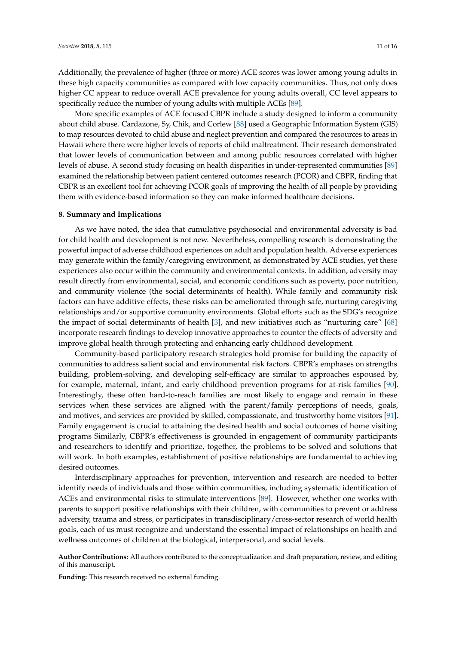Additionally, the prevalence of higher (three or more) ACE scores was lower among young adults in these high capacity communities as compared with low capacity communities. Thus, not only does higher CC appear to reduce overall ACE prevalence for young adults overall, CC level appears to specifically reduce the number of young adults with multiple ACEs [\[89\]](#page-15-7).

More specific examples of ACE focused CBPR include a study designed to inform a community about child abuse. Cardazone, Sy, Chik, and Corlew [\[88\]](#page-15-6) used a Geographic Information System (GIS) to map resources devoted to child abuse and neglect prevention and compared the resources to areas in Hawaii where there were higher levels of reports of child maltreatment. Their research demonstrated that lower levels of communication between and among public resources correlated with higher levels of abuse. A second study focusing on health disparities in under-represented communities [\[89\]](#page-15-7) examined the relationship between patient centered outcomes research (PCOR) and CBPR, finding that CBPR is an excellent tool for achieving PCOR goals of improving the health of all people by providing them with evidence-based information so they can make informed healthcare decisions.

#### **8. Summary and Implications**

As we have noted, the idea that cumulative psychosocial and environmental adversity is bad for child health and development is not new. Nevertheless, compelling research is demonstrating the powerful impact of adverse childhood experiences on adult and population health. Adverse experiences may generate within the family/caregiving environment, as demonstrated by ACE studies, yet these experiences also occur within the community and environmental contexts. In addition, adversity may result directly from environmental, social, and economic conditions such as poverty, poor nutrition, and community violence (the social determinants of health). While family and community risk factors can have additive effects, these risks can be ameliorated through safe, nurturing caregiving relationships and/or supportive community environments. Global efforts such as the SDG's recognize the impact of social determinants of health [\[3\]](#page-11-2), and new initiatives such as "nurturing care" [\[68\]](#page-14-6) incorporate research findings to develop innovative approaches to counter the effects of adversity and improve global health through protecting and enhancing early childhood development.

Community-based participatory research strategies hold promise for building the capacity of communities to address salient social and environmental risk factors. CBPR's emphases on strengths building, problem-solving, and developing self-efficacy are similar to approaches espoused by, for example, maternal, infant, and early childhood prevention programs for at-risk families [\[90\]](#page-15-8). Interestingly, these often hard-to-reach families are most likely to engage and remain in these services when these services are aligned with the parent/family perceptions of needs, goals, and motives, and services are provided by skilled, compassionate, and trustworthy home visitors [\[91\]](#page-15-9). Family engagement is crucial to attaining the desired health and social outcomes of home visiting programs Similarly, CBPR's effectiveness is grounded in engagement of community participants and researchers to identify and prioritize, together, the problems to be solved and solutions that will work. In both examples, establishment of positive relationships are fundamental to achieving desired outcomes.

Interdisciplinary approaches for prevention, intervention and research are needed to better identify needs of individuals and those within communities, including systematic identification of ACEs and environmental risks to stimulate interventions [\[89\]](#page-15-7). However, whether one works with parents to support positive relationships with their children, with communities to prevent or address adversity, trauma and stress, or participates in transdisciplinary/cross-sector research of world health goals, each of us must recognize and understand the essential impact of relationships on health and wellness outcomes of children at the biological, interpersonal, and social levels.

**Author Contributions:** All authors contributed to the conceptualization and draft preparation, review, and editing of this manuscript.

**Funding:** This research received no external funding.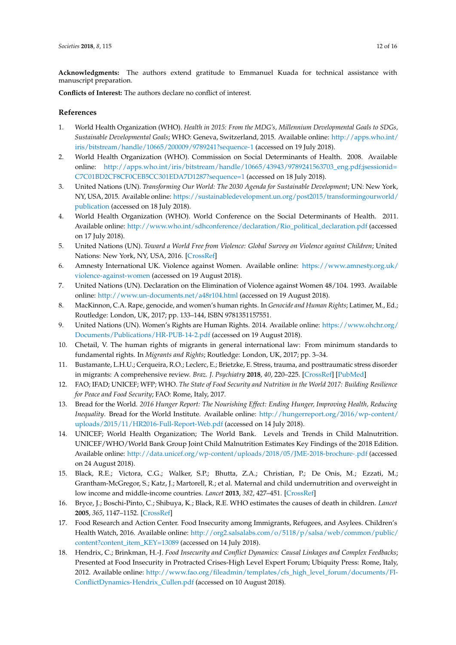**Acknowledgments:** The authors extend gratitude to Emmanuel Kuada for technical assistance with manuscript preparation.

**Conflicts of Interest:** The authors declare no conflict of interest.

#### **References**

- <span id="page-11-0"></span>1. World Health Organization (WHO). *Health in 2015: From the MDG's, Millennium Developmental Goals to SDGs, Sustainable Developmental Goals*; WHO: Geneva, Switzerland, 2015. Available online: [http://apps.who.int/](http://apps.who.int/iris/bitstream/handle/10665/200009/9789241?sequence-1) [iris/bitstream/handle/10665/200009/9789241?sequence-1](http://apps.who.int/iris/bitstream/handle/10665/200009/9789241?sequence-1) (accessed on 19 July 2018).
- <span id="page-11-1"></span>2. World Health Organization (WHO). Commission on Social Determinants of Health. 2008. Available online: [http://apps.who.int/iris/bitstream/handle/10665/43943/9789241563703\\_eng.pdf;jsessionid=](http://apps.who.int/iris/bitstream/handle/10665/43943/9789241563703_eng.pdf;jsessionid=C7C01BD2CF8CF0CEB5CC301EDA7D1287?sequence=1) [C7C01BD2CF8CF0CEB5CC301EDA7D1287?sequence=1](http://apps.who.int/iris/bitstream/handle/10665/43943/9789241563703_eng.pdf;jsessionid=C7C01BD2CF8CF0CEB5CC301EDA7D1287?sequence=1) (accessed on 18 July 2018).
- <span id="page-11-2"></span>3. United Nations (UN). *Transforming Our World: The 2030 Agenda for Sustainable Development*; UN: New York, NY, USA, 2015. Available online: [https://sustainabledevelopment.un.org/post2015/transformingourworld/](https://sustainabledevelopment.un.org/post2015/transformingourworld/publication) [publication](https://sustainabledevelopment.un.org/post2015/transformingourworld/publication) (accessed on 18 July 2018).
- <span id="page-11-3"></span>4. World Health Organization (WHO). World Conference on the Social Determinants of Health. 2011. Available online: [http://www.who.int/sdhconference/declaration/Rio\\_political\\_declaration.pdf](http://www.who.int/sdhconference/declaration/Rio_political_declaration.pdf) (accessed on 17 July 2018).
- <span id="page-11-4"></span>5. United Nations (UN). *Toward a World Free from Violence: Global Survey on Violence against Children*; United Nations: New York, NY, USA, 2016. [\[CrossRef\]](http://dx.doi.org/10.18356/2442f8ad-en)
- <span id="page-11-5"></span>6. Amnesty International UK. Violence against Women. Available online: [https://www.amnesty.org.uk/](https://www.amnesty.org.uk/violence-against-women) [violence-against-women](https://www.amnesty.org.uk/violence-against-women) (accessed on 19 August 2018).
- <span id="page-11-6"></span>7. United Nations (UN). Declaration on the Elimination of Violence against Women 48/104. 1993. Available online: <http://www.un-documents.net/a48r104.html> (accessed on 19 August 2018).
- <span id="page-11-7"></span>8. MacKinnon, C.A. Rape, genocide, and women's human rights. In *Genocide and Human Rights*; Latimer, M., Ed.; Routledge: London, UK, 2017; pp. 133–144, ISBN 9781351157551.
- <span id="page-11-8"></span>9. United Nations (UN). Women's Rights are Human Rights. 2014. Available online: [https://www.ohchr.org/](https://www.ohchr.org/Documents/Publications/HR-PUB-14-2.pdf) [Documents/Publications/HR-PUB-14-2.pdf](https://www.ohchr.org/Documents/Publications/HR-PUB-14-2.pdf) (accessed on 19 August 2018).
- <span id="page-11-9"></span>10. Chetail, V. The human rights of migrants in general international law: From minimum standards to fundamental rights. In *Migrants and Rights*; Routledge: London, UK, 2017; pp. 3–34.
- <span id="page-11-10"></span>11. Bustamante, L.H.U.; Cerqueira, R.O.; Leclerc, E.; Brietzke, E. Stress, trauma, and posttraumatic stress disorder in migrants: A comprehensive review. *Braz. J. Psychiatry* **2018**, *40*, 220–225. [\[CrossRef\]](http://dx.doi.org/10.1590/1516-4446-2017-2290) [\[PubMed\]](http://www.ncbi.nlm.nih.gov/pubmed/29069252)
- <span id="page-11-11"></span>12. FAO; IFAD; UNICEF; WFP; WHO. *The State of Food Security and Nutrition in the World 2017: Building Resilience for Peace and Food Security*; FAO: Rome, Italy, 2017.
- <span id="page-11-12"></span>13. Bread for the World. *2016 Hunger Report: The Nourishing Effect: Ending Hunger, Improving Health, Reducing Inequality*. Bread for the World Institute. Available online: [http://hungerreport.org/2016/wp-content/](http://hungerreport.org/2016/wp-content/uploads/2015/11/HR2016-Full-Report-Web.pdf) [uploads/2015/11/HR2016-Full-Report-Web.pdf](http://hungerreport.org/2016/wp-content/uploads/2015/11/HR2016-Full-Report-Web.pdf) (accessed on 14 July 2018).
- <span id="page-11-13"></span>14. UNICEF; World Health Organization; The World Bank. Levels and Trends in Child Malnutrition. UNICEF/WHO/World Bank Group Joint Child Malnutrition Estimates Key Findings of the 2018 Edition. Available online: <http://data.unicef.org/wp-content/uploads/2018/05/JME-2018-brochure-.pdf> (accessed on 24 August 2018).
- <span id="page-11-14"></span>15. Black, R.E.; Victora, C.G.; Walker, S.P.; Bhutta, Z.A.; Christian, P.; De Onis, M.; Ezzati, M.; Grantham-McGregor, S.; Katz, J.; Martorell, R.; et al. Maternal and child undernutrition and overweight in low income and middle-income countries. *Lancet* **2013**, *382*, 427–451. [\[CrossRef\]](http://dx.doi.org/10.1016/S0140-6736(13)60937-X)
- <span id="page-11-15"></span>16. Bryce, J.; Boschi-Pinto, C.; Shibuya, K.; Black, R.E. WHO estimates the causes of death in children. *Lancet* **2005**, *365*, 1147–1152. [\[CrossRef\]](http://dx.doi.org/10.1016/S0140-6736(05)71877-8)
- <span id="page-11-16"></span>17. Food Research and Action Center. Food Insecurity among Immigrants, Refugees, and Asylees. Children's Health Watch, 2016. Available online: [http://org2.salsalabs.com/o/5118/p/salsa/web/common/public/](http://org2.salsalabs.com/o/5118/p/salsa/web/common/public/content?content_item_KEY=13089) [content?content\\_item\\_KEY=13089](http://org2.salsalabs.com/o/5118/p/salsa/web/common/public/content?content_item_KEY=13089) (accessed on 14 July 2018).
- <span id="page-11-17"></span>18. Hendrix, C.; Brinkman, H.-J. *Food Insecurity and Conflict Dynamics: Causal Linkages and Complex Feedbacks*; Presented at Food Insecurity in Protracted Crises-High Level Expert Forum; Ubiquity Press: Rome, Italy, 2012. Available online: [http://www.fao.org/fileadmin/templates/cfs\\_high\\_level\\_forum/documents/FI-](http://www.fao.org/fileadmin/templates/cfs_high_level_forum/documents/FI-ConflictDynamics-Hendrix_Cullen.pdf)[ConflictDynamics-Hendrix\\_Cullen.pdf](http://www.fao.org/fileadmin/templates/cfs_high_level_forum/documents/FI-ConflictDynamics-Hendrix_Cullen.pdf) (accessed on 10 August 2018).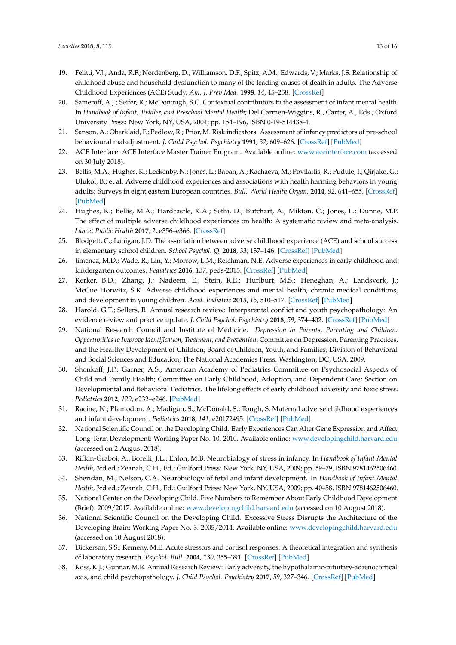- <span id="page-12-0"></span>19. Felitti, V.J.; Anda, R.F.; Nordenberg, D.; Williamson, D.F.; Spitz, A.M.; Edwards, V.; Marks, J.S. Relationship of childhood abuse and household dysfunction to many of the leading causes of death in adults. The Adverse Childhood Experiences (ACE) Study. *Am. J. Prev Med.* **1998**, *14*, 45–258. [\[CrossRef\]](http://dx.doi.org/10.1016/S0749-3797(98)00017-8)
- <span id="page-12-1"></span>20. Sameroff, A.J.; Seifer, R.; McDonough, S.C. Contextual contributors to the assessment of infant mental health. In *Handbook of Infant, Toddler, and Preschool Mental Health*; Del Carmen-Wiggins, R., Carter, A., Eds.; Oxford University Press: New York, NY, USA, 2004; pp. 154–196, ISBN 0-19-514438-4.
- <span id="page-12-2"></span>21. Sanson, A.; Oberklaid, F.; Pedlow, R.; Prior, M. Risk indicators: Assessment of infancy predictors of pre-school behavioural maladjustment. *J. Child Psychol. Psychiatry* **1991**, *32*, 609–626. [\[CrossRef\]](http://dx.doi.org/10.1111/j.1469-7610.1991.tb00338.x) [\[PubMed\]](http://www.ncbi.nlm.nih.gov/pubmed/1864892)
- <span id="page-12-3"></span>22. ACE Interface. ACE Interface Master Trainer Program. Available online: <www.aceinterface.com> (accessed on 30 July 2018).
- <span id="page-12-4"></span>23. Bellis, M.A.; Hughes, K.; Leckenby, N.; Jones, L.; Baban, A.; Kachaeva, M.; Povilaitis, R.; Pudule, I.; Qirjako, G.; Ulukol, B.; et al. Adverse childhood experiences and associations with health harming behaviors in young adults: Surveys in eight eastern European countries. *Bull. World Health Organ.* **2014**, *92*, 641–655. [\[CrossRef\]](http://dx.doi.org/10.2471/BLT.13.129247) [\[PubMed\]](http://www.ncbi.nlm.nih.gov/pubmed/25378755)
- <span id="page-12-5"></span>24. Hughes, K.; Bellis, M.A.; Hardcastle, K.A.; Sethi, D.; Butchart, A.; Mikton, C.; Jones, L.; Dunne, M.P. The effect of multiple adverse childhood experiences on health: A systematic review and meta-analysis. *Lancet Public Health* **2017**, *2*, e356–e366. [\[CrossRef\]](http://dx.doi.org/10.1016/S2468-2667(17)30118-4)
- <span id="page-12-6"></span>25. Blodgett, C.; Lanigan, J.D. The association between adverse childhood experience (ACE) and school success in elementary school children. *School Psychol. Q.* **2018**, *33*, 137–146. [\[CrossRef\]](http://dx.doi.org/10.1037/spq0000256) [\[PubMed\]](http://www.ncbi.nlm.nih.gov/pubmed/29629790)
- <span id="page-12-7"></span>26. Jimenez, M.D.; Wade, R.; Lin, Y.; Morrow, L.M.; Reichman, N.E. Adverse experiences in early childhood and kindergarten outcomes. *Pediatrics* **2016**, *137*, peds-2015. [\[CrossRef\]](http://dx.doi.org/10.1542/peds.2015-1839) [\[PubMed\]](http://www.ncbi.nlm.nih.gov/pubmed/26768347)
- <span id="page-12-8"></span>27. Kerker, B.D.; Zhang, J.; Nadeem, E.; Stein, R.E.; Hurlburt, M.S.; Heneghan, A.; Landsverk, J.; McCue Horwitz, S.K. Adverse childhood experiences and mental health, chronic medical conditions, and development in young children. *Acad. Pediatric* **2015**, *15*, 510–517. [\[CrossRef\]](http://dx.doi.org/10.1016/j.acap.2015.05.005) [\[PubMed\]](http://www.ncbi.nlm.nih.gov/pubmed/26183001)
- <span id="page-12-9"></span>28. Harold, G.T.; Sellers, R. Annual research review: Interparental conflict and youth psychopathology: An evidence review and practice update. *J. Child Psychol. Psychiatry* **2018**, *59*, 374–402. [\[CrossRef\]](http://dx.doi.org/10.1111/jcpp.12893) [\[PubMed\]](http://www.ncbi.nlm.nih.gov/pubmed/29574737)
- <span id="page-12-10"></span>29. National Research Council and Institute of Medicine. *Depression in Parents, Parenting and Children: Opportunities to Improve Identification, Treatment, and Prevention*; Committee on Depression, Parenting Practices, and the Healthy Development of Children; Board of Children, Youth, and Families; Division of Behavioral and Social Sciences and Education; The National Academies Press: Washington, DC, USA, 2009.
- <span id="page-12-11"></span>30. Shonkoff, J.P.; Garner, A.S.; American Academy of Pediatrics Committee on Psychosocial Aspects of Child and Family Health; Committee on Early Childhood, Adoption, and Dependent Care; Section on Developmental and Behavioral Pediatrics. The lifelong effects of early childhood adversity and toxic stress. *Pediatrics* **2012**, *129*, e232–e246. [\[PubMed\]](http://www.ncbi.nlm.nih.gov/pubmed/22201156)
- <span id="page-12-12"></span>31. Racine, N.; Plamodon, A.; Madigan, S.; McDonald, S.; Tough, S. Maternal adverse childhood experiences and infant development. *Pediatrics* **2018**, *141*, e20172495. [\[CrossRef\]](http://dx.doi.org/10.1542/peds.2017-2495) [\[PubMed\]](http://www.ncbi.nlm.nih.gov/pubmed/29559588)
- <span id="page-12-13"></span>32. National Scientific Council on the Developing Child. Early Experiences Can Alter Gene Expression and Affect Long-Term Development: Working Paper No. 10. 2010. Available online: <www.developingchild.harvard.edu> (accessed on 2 August 2018).
- <span id="page-12-14"></span>33. Rifkin-Graboi, A.; Borelli, J.L.; Enlon, M.B. Neurobiology of stress in infancy. In *Handbook of Infant Mental Health*, 3rd ed.; Zeanah, C.H., Ed.; Guilford Press: New York, NY, USA, 2009; pp. 59–79, ISBN 9781462506460.
- <span id="page-12-15"></span>34. Sheridan, M.; Nelson, C.A. Neurobiology of fetal and infant development. In *Handbook of Infant Mental Health*, 3rd ed.; Zeanah, C.H., Ed.; Guilford Press: New York, NY, USA, 2009; pp. 40–58, ISBN 9781462506460.
- <span id="page-12-16"></span>35. National Center on the Developing Child. Five Numbers to Remember About Early Childhood Development (Brief). 2009/2017. Available online: <www.developingchild.harvard.edu> (accessed on 10 August 2018).
- <span id="page-12-17"></span>36. National Scientific Council on the Developing Child. Excessive Stress Disrupts the Architecture of the Developing Brain: Working Paper No. 3. 2005/2014. Available online: <www.developingchild.harvard.edu> (accessed on 10 August 2018).
- <span id="page-12-18"></span>37. Dickerson, S.S.; Kemeny, M.E. Acute stressors and cortisol responses: A theoretical integration and synthesis of laboratory research. *Psychol. Bull.* **2004**, *130*, 355–391. [\[CrossRef\]](http://dx.doi.org/10.1037/0033-2909.130.3.355) [\[PubMed\]](http://www.ncbi.nlm.nih.gov/pubmed/15122924)
- <span id="page-12-19"></span>38. Koss, K.J.; Gunnar, M.R. Annual Research Review: Early adversity, the hypothalamic-pituitary-adrenocortical axis, and child psychopathology. *J. Child Psychol. Psychiatry* **2017**, *59*, 327–346. [\[CrossRef\]](http://dx.doi.org/10.1111/jcpp.12784) [\[PubMed\]](http://www.ncbi.nlm.nih.gov/pubmed/28714126)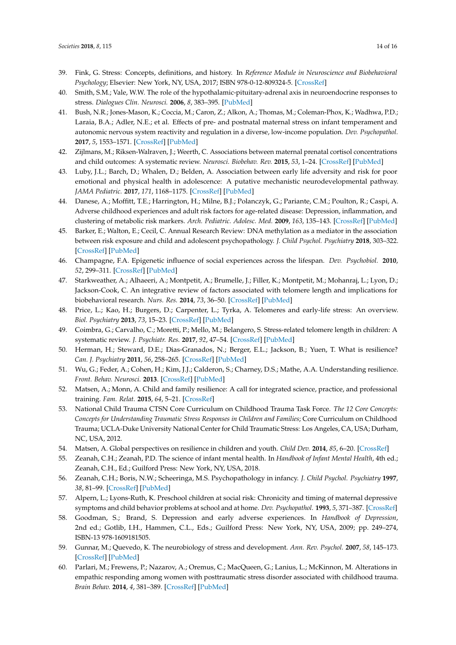- <span id="page-13-0"></span>39. Fink, G. Stress: Concepts, definitions, and history. In *Reference Module in Neuroscience and Biobehavioral Psychology*; Elsevier: New York, NY, USA, 2017; ISBN 978-0-12-809324-5. [\[CrossRef\]](http://dx.doi.org/10.1016/B978-0-12-809324-5.02208-2)
- <span id="page-13-1"></span>40. Smith, S.M.; Vale, W.W. The role of the hypothalamic-pituitary-adrenal axis in neuroendocrine responses to stress. *Dialogues Clin. Neurosci.* **2006**, *8*, 383–395. [\[PubMed\]](http://www.ncbi.nlm.nih.gov/pubmed/17290797)
- <span id="page-13-2"></span>41. Bush, N.R.; Jones-Mason, K.; Coccia, M.; Caron, Z.; Alkon, A.; Thomas, M.; Coleman-Phox, K.; Wadhwa, P.D.; Laraia, B.A.; Adler, N.E.; et al. Effects of pre- and postnatal maternal stress on infant temperament and autonomic nervous system reactivity and regulation in a diverse, low-income population. *Dev. Psychopathol.* **2017**, *5*, 1553–1571. [\[CrossRef\]](http://dx.doi.org/10.1017/S0954579417001237) [\[PubMed\]](http://www.ncbi.nlm.nih.gov/pubmed/29162167)
- <span id="page-13-3"></span>42. Zijlmans, M.; Riksen-Walraven, J.; Weerth, C. Associations between maternal prenatal cortisol concentrations and child outcomes: A systematic review. *Neurosci. Biobehav. Rev.* **2015**, *53*, 1–24. [\[CrossRef\]](http://dx.doi.org/10.1016/j.neubiorev.2015.02.015) [\[PubMed\]](http://www.ncbi.nlm.nih.gov/pubmed/25795521)
- <span id="page-13-4"></span>43. Luby, J.L.; Barch, D.; Whalen, D.; Belden, A. Association between early life adversity and risk for poor emotional and physical health in adolescence: A putative mechanistic neurodevelopmental pathway. *JAMA Pediatric.* **2017**, *171*, 1168–1175. [\[CrossRef\]](http://dx.doi.org/10.1001/jamapediatrics.2017.3009) [\[PubMed\]](http://www.ncbi.nlm.nih.gov/pubmed/29084329)
- <span id="page-13-5"></span>44. Danese, A.; Moffitt, T.E.; Harrington, H.; Milne, B.J.; Polanczyk, G.; Pariante, C.M.; Poulton, R.; Caspi, A. Adverse childhood experiences and adult risk factors for age-related disease: Depression, inflammation, and clustering of metabolic risk markers. *Arch. Pediatric. Adolesc. Med.* **2009**, *163*, 135–143. [\[CrossRef\]](http://dx.doi.org/10.1001/archpediatrics.2009.214) [\[PubMed\]](http://www.ncbi.nlm.nih.gov/pubmed/19996051)
- <span id="page-13-6"></span>45. Barker, E.; Walton, E.; Cecil, C. Annual Research Review: DNA methylation as a mediator in the association between risk exposure and child and adolescent psychopathology. *J. Child Psychol. Psychiatry* **2018**, 303–322. [\[CrossRef\]](http://dx.doi.org/10.1111/jcpp.12782) [\[PubMed\]](http://www.ncbi.nlm.nih.gov/pubmed/28736860)
- <span id="page-13-7"></span>46. Champagne, F.A. Epigenetic influence of social experiences across the lifespan. *Dev. Psychobiol.* **2010**, *52*, 299–311. [\[CrossRef\]](http://dx.doi.org/10.1002/dev.20436) [\[PubMed\]](http://www.ncbi.nlm.nih.gov/pubmed/20175106)
- <span id="page-13-8"></span>47. Starkweather, A.; Alhaeeri, A.; Montpetit, A.; Brumelle, J.; Filler, K.; Montpetit, M.; Mohanraj, L.; Lyon, D.; Jackson-Cook, C. An integrative review of factors associated with telomere length and implications for biobehavioral research. *Nurs. Res.* **2014**, *73*, 36–50. [\[CrossRef\]](http://dx.doi.org/10.1097/NNR.0000000000000009) [\[PubMed\]](http://www.ncbi.nlm.nih.gov/pubmed/24335912)
- <span id="page-13-9"></span>48. Price, L.; Kao, H.; Burgers, D.; Carpenter, L.; Tyrka, A. Telomeres and early-life stress: An overview. *Biol. Psychiatry* **2013**, *73*, 15–23. [\[CrossRef\]](http://dx.doi.org/10.1016/j.biopsych.2012.06.025) [\[PubMed\]](http://www.ncbi.nlm.nih.gov/pubmed/22831981)
- <span id="page-13-10"></span>49. Coimbra, G.; Carvalho, C.; Moretti, P.; Mello, M.; Belangero, S. Stress-related telomere length in children: A systematic review. *J. Psychiatr. Res.* **2017**, *92*, 47–54. [\[CrossRef\]](http://dx.doi.org/10.1016/j.jpsychires.2017.03.023) [\[PubMed\]](http://www.ncbi.nlm.nih.gov/pubmed/28407508)
- <span id="page-13-11"></span>50. Herman, H.; Steward, D.E.; Dias-Granados, N.; Berger, E.L.; Jackson, B.; Yuen, T. What is resilience? *Can. J. Psychiatry* **2011**, *56*, 258–265. [\[CrossRef\]](http://dx.doi.org/10.1177/070674371105600504) [\[PubMed\]](http://www.ncbi.nlm.nih.gov/pubmed/21586191)
- 51. Wu, G.; Feder, A.; Cohen, H.; Kim, J.J.; Calderon, S.; Charney, D.S.; Mathe, A.A. Understanding resilience. *Front. Behav. Neurosci.* **2013**. [\[CrossRef\]](http://dx.doi.org/10.3389/fnbeh.2013.00010) [\[PubMed\]](http://www.ncbi.nlm.nih.gov/pubmed/23422934)
- <span id="page-13-12"></span>52. Matsen, A.; Monn, A. Child and family resilience: A call for integrated science, practice, and professional training. *Fam. Relat.* **2015**, *64*, 5–21. [\[CrossRef\]](http://dx.doi.org/10.1111/fare.12103)
- <span id="page-13-13"></span>53. National Child Trauma CTSN Core Curriculum on Childhood Trauma Task Force. *The 12 Core Concepts: Concepts for Understanding Traumatic Stress Responses in Children and Families*; Core Curriculum on Childhood Trauma; UCLA-Duke University National Center for Child Traumatic Stress: Los Angeles, CA, USA; Durham, NC, USA, 2012.
- <span id="page-13-14"></span>54. Matsen, A. Global perspectives on resilience in children and youth. *Child Dev.* **2014**, *85*, 6–20. [\[CrossRef\]](http://dx.doi.org/10.1111/cdev.12205)
- <span id="page-13-15"></span>55. Zeanah, C.H.; Zeanah, P.D. The science of infant mental health. In *Handbook of Infant Mental Health*, 4th ed.; Zeanah, C.H., Ed.; Guilford Press: New York, NY, USA, 2018.
- <span id="page-13-16"></span>56. Zeanah, C.H.; Boris, N.W.; Scheeringa, M.S. Psychopathology in infancy. *J. Child Psychol. Psychiatry* **1997**, *38*, 81–99. [\[CrossRef\]](http://dx.doi.org/10.1111/j.1469-7610.1997.tb01506.x) [\[PubMed\]](http://www.ncbi.nlm.nih.gov/pubmed/9232459)
- <span id="page-13-17"></span>57. Alpern, L.; Lyons-Ruth, K. Preschool children at social risk: Chronicity and timing of maternal depressive symptoms and child behavior problems at school and at home. *Dev. Psychopathol.* **1993**, *5*, 371–387. [\[CrossRef\]](http://dx.doi.org/10.1017/S0954579400004478)
- <span id="page-13-18"></span>58. Goodman, S.; Brand, S. Depression and early adverse experiences. In *Handbook of Depression*, 2nd ed.; Gotlib, I.H., Hammen, C.L., Eds.; Guilford Press: New York, NY, USA, 2009; pp. 249–274, ISBN-13 978-1609181505.
- <span id="page-13-19"></span>59. Gunnar, M.; Quevedo, K. The neurobiology of stress and development. *Ann. Rev. Psychol.* **2007**, *58*, 145–173. [\[CrossRef\]](http://dx.doi.org/10.1146/annurev.psych.58.110405.085605) [\[PubMed\]](http://www.ncbi.nlm.nih.gov/pubmed/16903808)
- <span id="page-13-20"></span>60. Parlari, M.; Frewens, P.; Nazarov, A.; Oremus, C.; MacQueen, G.; Lanius, L.; McKinnon, M. Alterations in empathic responding among women with posttraumatic stress disorder associated with childhood trauma. *Brain Behav.* **2014**, *4*, 381–389. [\[CrossRef\]](http://dx.doi.org/10.1002/brb3.215) [\[PubMed\]](http://www.ncbi.nlm.nih.gov/pubmed/24944867)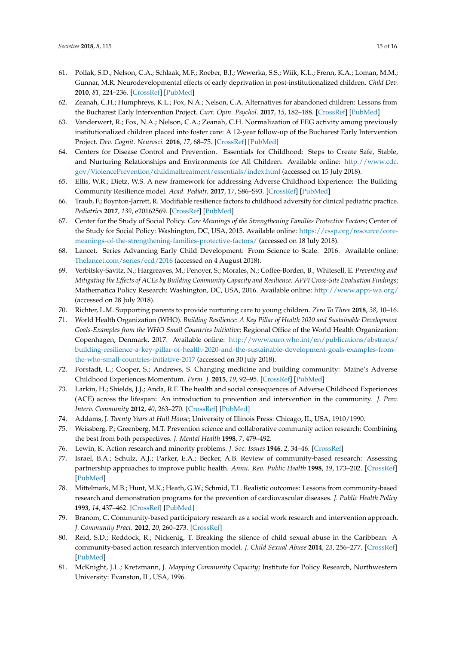- <span id="page-14-0"></span>61. Pollak, S.D.; Nelson, C.A.; Schlaak, M.F.; Roeber, B.J.; Wewerka, S.S.; Wiik, K.L.; Frenn, K.A.; Loman, M.M.; Gunnar, M.R. Neurodevelopmental effects of early deprivation in post-institutionalized children. *Child Dev.* **2010**, *81*, 224–236. [\[CrossRef\]](http://dx.doi.org/10.1111/j.1467-8624.2009.01391.x) [\[PubMed\]](http://www.ncbi.nlm.nih.gov/pubmed/20331664)
- <span id="page-14-1"></span>62. Zeanah, C.H.; Humphreys, K.L.; Fox, N.A.; Nelson, C.A. Alternatives for abandoned children: Lessons from the Bucharest Early Intervention Project. *Curr. Opin. Psychol.* **2017**, *15*, 182–188. [\[CrossRef\]](http://dx.doi.org/10.1016/j.copsyc.2017.02.024) [\[PubMed\]](http://www.ncbi.nlm.nih.gov/pubmed/28813259)
- <span id="page-14-2"></span>63. Vanderwert, R.; Fox, N.A.; Nelson, C.A.; Zeanah, C.H. Normalization of EEG activity among previously institutionalized children placed into foster care: A 12-year follow-up of the Bucharest Early Intervention Project. *Dev. Cognit. Neurosci.* **2016**, *17*, 68–75. [\[CrossRef\]](http://dx.doi.org/10.1016/j.dcn.2015.12.004) [\[PubMed\]](http://www.ncbi.nlm.nih.gov/pubmed/26724564)
- <span id="page-14-3"></span>64. Centers for Disease Control and Prevention. Essentials for Childhood: Steps to Create Safe, Stable, and Nurturing Relationships and Environments for All Children. Available online: [http://www.cdc.](http://www.cdc.gov/ViolencePrevention/childmaltreatment/essentials/index.html) [gov/ViolencePrevention/childmaltreatment/essentials/index.html](http://www.cdc.gov/ViolencePrevention/childmaltreatment/essentials/index.html) (accessed on 15 July 2018).
- <span id="page-14-8"></span>65. Ellis, W.R.; Dietz, W.S. A new framework for addressing Adverse Childhood Experience: The Building Community Resilience model. *Acad. Pediatr.* **2017**, *17*, S86–S93. [\[CrossRef\]](http://dx.doi.org/10.1016/j.acap.2016.12.011) [\[PubMed\]](http://www.ncbi.nlm.nih.gov/pubmed/28865665)
- 66. Traub, F.; Boynton-Jarrett, R. Modifiable resilience factors to childhood adversity for clinical pediatric practice. *Pediatrics* **2017**, *139*, e20162569. [\[CrossRef\]](http://dx.doi.org/10.1542/peds.2016-2569) [\[PubMed\]](http://www.ncbi.nlm.nih.gov/pubmed/28557726)
- <span id="page-14-4"></span>67. Center for the Study of Social Policy. *Core Meanings of the Strengthening Families Protective Factors*; Center of the Study for Social Policy: Washington, DC, USA, 2015. Available online: [https://cssp.org/resource/core](https://cssp.org/resource/core-meanings-of-the-strengthening-families-protective-factors/)[meanings-of-the-strengthening-families-protective-factors/](https://cssp.org/resource/core-meanings-of-the-strengthening-families-protective-factors/) (accessed on 18 July 2018).
- <span id="page-14-6"></span>68. Lancet. Series Advancing Early Child Development: From Science to Scale. 2016. Available online: <Thelancet.com/series/ecd/2016> (accessed on 4 August 2018).
- <span id="page-14-5"></span>69. Verbitsky-Savitz, N.; Hargreaves, M.; Penoyer, S.; Morales, N.; Coffee-Borden, B.; Whitesell, E. *Preventing and Mitigating the Effects of ACEs by Building Community Capacity and Resilience: APPI Cross-Site Evaluation Findings*; Mathematica Policy Research: Washington, DC, USA, 2016. Available online: <http://www.appi-wa.org/> (accessed on 28 July 2018).
- <span id="page-14-7"></span>70. Richter, L.M. Supporting parents to provide nurturing care to young children. *Zero To Three* **2018**, *38*, 10–16.
- <span id="page-14-9"></span>71. World Health Organization (WHO). *Building Resilience: A Key Pillar of Health 2020 and Sustainable Development Goals-Examples from the WHO Small Countries Initiative*; Regional Office of the World Health Organization: Copenhagen, Denmark, 2017. Available online: [http://www.euro.who.int/en/publications/abstracts/](http://www.euro.who.int/en/publications/abstracts/building-resilience-a-key-pillar-of-health-2020-and-the-sustainable-development-goals-examples-from-the-who-small-countries-initiative-2017) [building-resilience-a-key-pillar-of-health-2020-and-the-sustainable-development-goals-examples-from](http://www.euro.who.int/en/publications/abstracts/building-resilience-a-key-pillar-of-health-2020-and-the-sustainable-development-goals-examples-from-the-who-small-countries-initiative-2017)[the-who-small-countries-initiative-2017](http://www.euro.who.int/en/publications/abstracts/building-resilience-a-key-pillar-of-health-2020-and-the-sustainable-development-goals-examples-from-the-who-small-countries-initiative-2017) (accessed on 30 July 2018).
- <span id="page-14-10"></span>72. Forstadt, L.; Cooper, S.; Andrews, S. Changing medicine and building community: Maine's Adverse Childhood Experiences Momentum. *Perm. J.* **2015**, *19*, 92–95. [\[CrossRef\]](http://dx.doi.org/10.7812/TPP/14-169) [\[PubMed\]](http://www.ncbi.nlm.nih.gov/pubmed/25902346)
- <span id="page-14-11"></span>73. Larkin, H.; Shields, J.J.; Anda, R.F. The health and social consequences of Adverse Childhood Experiences (ACE) across the lifespan: An introduction to prevention and intervention in the community. *J. Prev. Interv. Community* **2012**, *40*, 263–270. [\[CrossRef\]](http://dx.doi.org/10.1080/10852352.2012.707439) [\[PubMed\]](http://www.ncbi.nlm.nih.gov/pubmed/22970779)
- <span id="page-14-12"></span>74. Addams, J. *Twenty Years at Hull House*; University of Illinois Press: Chicago, IL, USA, 1910/1990.
- <span id="page-14-13"></span>75. Weissberg, P.; Greenberg, M.T. Prevention science and collaborative community action research: Combining the best from both perspectives. *J. Mental Health* **1998**, *7*, 479–492.
- <span id="page-14-14"></span>76. Lewin, K. Action research and minority problems. *J. Soc. Issues* **1946**, *2*, 34–46. [\[CrossRef\]](http://dx.doi.org/10.1111/j.1540-4560.1946.tb02295.x)
- <span id="page-14-15"></span>77. Israel, B.A.; Schulz, A.J.; Parker, E.A.; Becker, A.B. Review of community-based research: Assessing partnership approaches to improve public health. *Annu. Rev. Public Health* **1998**, *19*, 173–202. [\[CrossRef\]](http://dx.doi.org/10.1146/annurev.publhealth.19.1.173) [\[PubMed\]](http://www.ncbi.nlm.nih.gov/pubmed/9611617)
- <span id="page-14-16"></span>78. Mittelmark, M.B.; Hunt, M.K.; Heath, G.W.; Schmid, T.L. Realistic outcomes: Lessons from community-based research and demonstration programs for the prevention of cardiovascular diseases. *J. Public Health Policy* **1993**, *14*, 437–462. [\[CrossRef\]](http://dx.doi.org/10.2307/3342877) [\[PubMed\]](http://www.ncbi.nlm.nih.gov/pubmed/8163634)
- <span id="page-14-17"></span>79. Branom, C. Community-based participatory research as a social work research and intervention approach. *J. Community Pract.* **2012**, *20*, 260–273. [\[CrossRef\]](http://dx.doi.org/10.1080/10705422.2012.699871)
- <span id="page-14-18"></span>80. Reid, S.D.; Reddock, R.; Nickenig, T. Breaking the silence of child sexual abuse in the Caribbean: A community-based action research intervention model. *J. Child Sexual Abuse* **2014**, *23*, 256–277. [\[CrossRef\]](http://dx.doi.org/10.1080/10538712.2014.888118) [\[PubMed\]](http://www.ncbi.nlm.nih.gov/pubmed/24745546)
- <span id="page-14-19"></span>81. McKnight, J.L.; Kretzmann, J. *Mapping Community Capacity*; Institute for Policy Research, Northwestern University: Evanston, IL, USA, 1996.